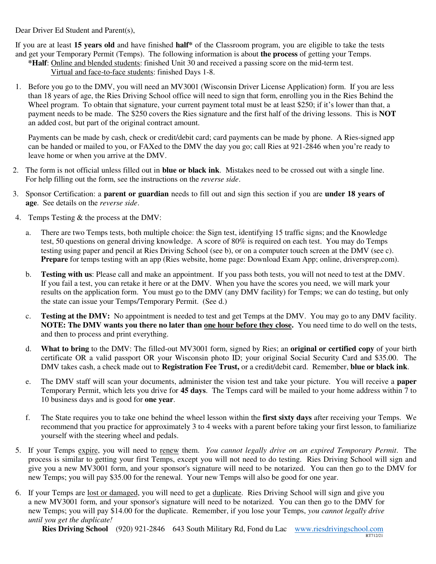Dear Driver Ed Student and Parent(s),

If you are at least **15 years old** and have finished **half\*** of the Classroom program, you are eligible to take the tests and get your Temporary Permit (Temps). The following information is about **the process** of getting your Temps.

**\*Half**: Online and blended students: finished Unit 30 and received a passing score on the mid-term test. Virtual and face-to-face students: finished Days 1-8.

1. Before you go to the DMV, you will need an MV3001 (Wisconsin Driver License Application) form. If you are less than 18 years of age, the Ries Driving School office will need to sign that form, enrolling you in the Ries Behind the Wheel program. To obtain that signature, your current payment total must be at least \$250; if it's lower than that, a payment needs to be made. The \$250 covers the Ries signature and the first half of the driving lessons. This is **NOT** an added cost, but part of the original contract amount.

Payments can be made by cash, check or credit/debit card; card payments can be made by phone. A Ries-signed app can be handed or mailed to you, or FAXed to the DMV the day you go; call Ries at 921-2846 when you're ready to leave home or when you arrive at the DMV.

- 2. The form is not official unless filled out in **blue or black ink**. Mistakes need to be crossed out with a single line. For help filling out the form, see the instructions on the *reverse side*.
- 3. Sponsor Certification: a **parent or guardian** needs to fill out and sign this section if you are **under 18 years of age**. See details on the *reverse side*.
- 4. Temps Testing & the process at the DMV:
	- a. There are two Temps tests, both multiple choice: the Sign test, identifying 15 traffic signs; and the Knowledge test, 50 questions on general driving knowledge. A score of 80% is required on each test. You may do Temps testing using paper and pencil at Ries Driving School (see b), or on a computer touch screen at the DMV (see c). **Prepare** for temps testing with an app (Ries website, home page: Download Exam App; online, driversprep.com).
	- b. **Testing with us**: Please call and make an appointment. If you pass both tests, you will not need to test at the DMV. If you fail a test, you can retake it here or at the DMV. When you have the scores you need, we will mark your results on the application form. You must go to the DMV (any DMV facility) for Temps; we can do testing, but only the state can issue your Temps/Temporary Permit. (See d.)
	- c. **Testing at the DMV:** No appointment is needed to test and get Temps at the DMV. You may go to any DMV facility. **NOTE: The DMV wants you there no later than one hour before they close.** You need time to do well on the tests, and then to process and print everything.
	- d. **What to bring** to the DMV: The filled-out MV3001 form, signed by Ries; an **original or certified copy** of your birth certificate OR a valid passport OR your Wisconsin photo ID; your original Social Security Card and \$35.00. The DMV takes cash, a check made out to **Registration Fee Trust,** or a credit/debit card. Remember, **blue or black ink**.
	- e. The DMV staff will scan your documents, administer the vision test and take your picture. You will receive a **paper** Temporary Permit, which lets you drive for **45 days**. The Temps card will be mailed to your home address within 7 to 10 business days and is good for **one year**.
	- f. The State requires you to take one behind the wheel lesson within the **first sixty days** after receiving your Temps. We recommend that you practice for approximately 3 to 4 weeks with a parent before taking your first lesson, to familiarize yourself with the steering wheel and pedals.
- 5. If your Temps expire, you will need to renew them. *You cannot legally drive on an expired Temporary Permit*. The process is similar to getting your first Temps, except you will not need to do testing. Ries Driving School will sign and give you a new MV3001 form, and your sponsor's signature will need to be notarized. You can then go to the DMV for new Temps; you will pay \$35.00 for the renewal. Your new Temps will also be good for one year.
- 6. If your Temps are lost or damaged, you will need to get a duplicate. Ries Driving School will sign and give you a new MV3001 form, and your sponsor's signature will need to be notarized. You can then go to the DMV for new Temps; you will pay \$14.00 for the duplicate. Remember, if you lose your Temps, *you cannot legally drive until you get the duplicate!*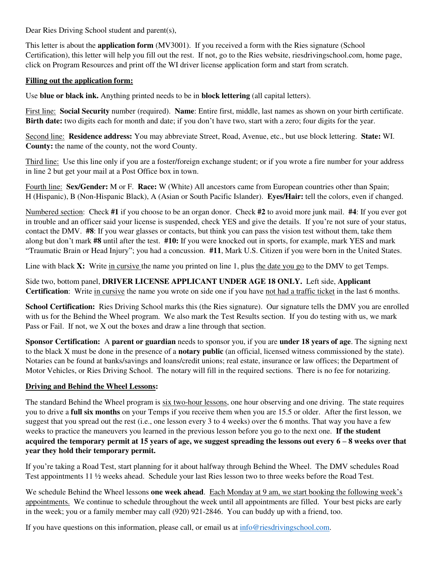Dear Ries Driving School student and parent(s),

This letter is about the **application form** (MV3001). If you received a form with the Ries signature (School Certification), this letter will help you fill out the rest. If not, go to the Ries website, riesdrivingschool.com, home page, click on Program Resources and print off the WI driver license application form and start from scratch.

### **Filling out the application form:**

Use **blue or black ink.** Anything printed needs to be in **block lettering** (all capital letters).

First line: **Social Security** number (required). **Name**: Entire first, middle, last names as shown on your birth certificate. **Birth date:** two digits each for month and date; if you don't have two, start with a zero; four digits for the year.

Second line: **Residence address:** You may abbreviate Street, Road, Avenue, etc., but use block lettering. **State:** WI. **County:** the name of the county, not the word County.

Third line: Use this line only if you are a foster/foreign exchange student; or if you wrote a fire number for your address in line 2 but get your mail at a Post Office box in town.

Fourth line: **Sex/Gender:** M or F. **Race:** W (White) All ancestors came from European countries other than Spain; H (Hispanic), B (Non-Hispanic Black), A (Asian or South Pacific Islander). **Eyes/Hair:** tell the colors, even if changed.

Numbered section: Check **#1** if you choose to be an organ donor. Check **#2** to avoid more junk mail. **#4**: If you ever got in trouble and an officer said your license is suspended, check YES and give the details. If you're not sure of your status, contact the DMV. **#8**: If you wear glasses or contacts, but think you can pass the vision test without them, take them along but don't mark **#8** until after the test. **#10:** If you were knocked out in sports, for example, mark YES and mark "Traumatic Brain or Head Injury"; you had a concussion. **#11**, Mark U.S. Citizen if you were born in the United States.

Line with black **X:** Write in cursive the name you printed on line 1, plus the date you go to the DMV to get Temps.

Side two, bottom panel, **DRIVER LICENSE APPLICANT UNDER AGE 18 ONLY.** Left side, **Applicant Certification**: Write in cursive the name you wrote on side one if you have not had a traffic ticket in the last 6 months.

**School Certification:** Ries Driving School marks this (the Ries signature). Our signature tells the DMV you are enrolled with us for the Behind the Wheel program. We also mark the Test Results section. If you do testing with us, we mark Pass or Fail. If not, we X out the boxes and draw a line through that section.

**Sponsor Certification:** A **parent or guardian** needs to sponsor you, if you are **under 18 years of age**. The signing next to the black X must be done in the presence of a **notary public** (an official, licensed witness commissioned by the state). Notaries can be found at banks/savings and loans/credit unions; real estate, insurance or law offices; the Department of Motor Vehicles, or Ries Driving School. The notary will fill in the required sections. There is no fee for notarizing.

### **Driving and Behind the Wheel Lessons:**

The standard Behind the Wheel program is six two-hour lessons, one hour observing and one driving. The state requires you to drive a **full six months** on your Temps if you receive them when you are 15.5 or older. After the first lesson, we suggest that you spread out the rest (i.e., one lesson every 3 to 4 weeks) over the 6 months. That way you have a few weeks to practice the maneuvers you learned in the previous lesson before you go to the next one. **If the student**  acquired the temporary permit at 15 years of age, we suggest spreading the lessons out every  $6 - 8$  weeks over that **year they hold their temporary permit.** 

If you're taking a Road Test, start planning for it about halfway through Behind the Wheel. The DMV schedules Road Test appointments 11 ½ weeks ahead. Schedule your last Ries lesson two to three weeks before the Road Test.

We schedule Behind the Wheel lessons **one week ahead**. Each Monday at 9 am, we start booking the following week's appointments. We continue to schedule throughout the week until all appointments are filled. Your best picks are early in the week; you or a family member may call (920) 921-2846. You can buddy up with a friend, too.

If you have questions on this information, please call, or email us at info@riesdrivingschool.com.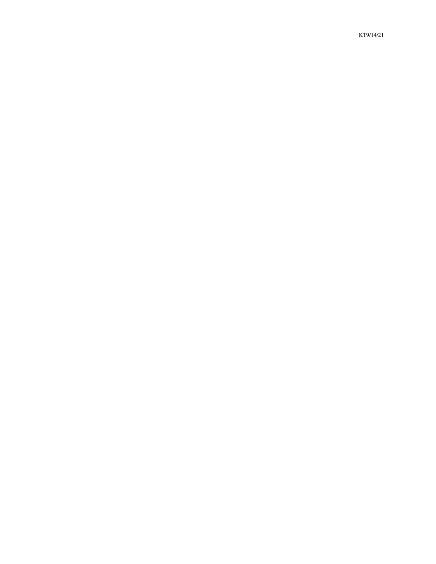KT9/14/21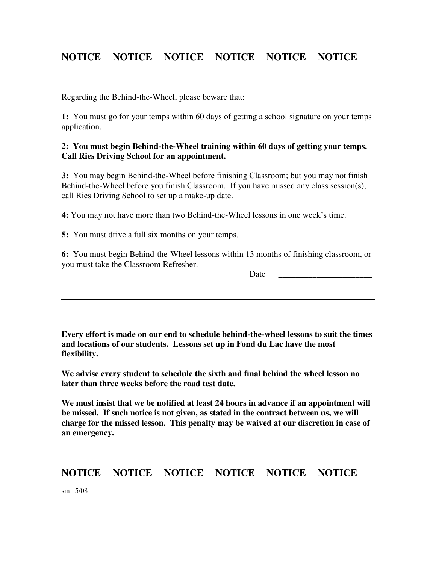# **NOTICE NOTICE NOTICE NOTICE NOTICE NOTICE**

Regarding the Behind-the-Wheel, please beware that:

**1:** You must go for your temps within 60 days of getting a school signature on your temps application.

## **2: You must begin Behind-the-Wheel training within 60 days of getting your temps. Call Ries Driving School for an appointment.**

**3:** You may begin Behind-the-Wheel before finishing Classroom; but you may not finish Behind-the-Wheel before you finish Classroom. If you have missed any class session(s), call Ries Driving School to set up a make-up date.

**4:** You may not have more than two Behind-the-Wheel lessons in one week's time.

**5:** You must drive a full six months on your temps.

**6:** You must begin Behind-the-Wheel lessons within 13 months of finishing classroom, or you must take the Classroom Refresher.

Date \_\_\_\_\_\_\_\_\_\_\_\_\_\_\_\_\_\_\_\_\_\_

**Every effort is made on our end to schedule behind-the-wheel lessons to suit the times and locations of our students. Lessons set up in Fond du Lac have the most flexibility.** 

**We advise every student to schedule the sixth and final behind the wheel lesson no later than three weeks before the road test date.** 

**We must insist that we be notified at least 24 hours in advance if an appointment will be missed. If such notice is not given, as stated in the contract between us, we will charge for the missed lesson. This penalty may be waived at our discretion in case of an emergency.** 

## **NOTICE NOTICE NOTICE NOTICE NOTICE NOTICE**

sm– 5/08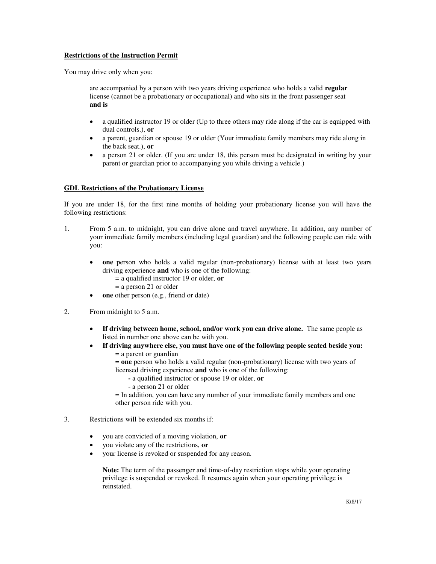#### **Restrictions of the Instruction Permit**

You may drive only when you:

are accompanied by a person with two years driving experience who holds a valid **regular**  license (cannot be a probationary or occupational) and who sits in the front passenger seat **and is** 

- a qualified instructor 19 or older (Up to three others may ride along if the car is equipped with dual controls.), **or**
- a parent, guardian or spouse 19 or older (Your immediate family members may ride along in the back seat.), **or**
- a person 21 or older. (If you are under 18, this person must be designated in writing by your parent or guardian prior to accompanying you while driving a vehicle.)

#### **GDL Restrictions of the Probationary License**

If you are under 18, for the first nine months of holding your probationary license you will have the following restrictions:

- 1. From 5 a.m. to midnight, you can drive alone and travel anywhere. In addition, any number of your immediate family members (including legal guardian) and the following people can ride with you:
	- **one** person who holds a valid regular (non-probationary) license with at least two years driving experience **and** who is one of the following:
		- = a qualified instructor 19 or older, **or**
		- = a person 21 or older
	- **one** other person (e.g., friend or date)
- 2. From midnight to 5 a.m.
	- **If driving between home, school, and/or work you can drive alone.** The same people as listed in number one above can be with you.
	- **If driving anywhere else, you must have one of the following people seated beside you: =** a parent or guardian
		- = **one** person who holds a valid regular (non-probationary) license with two years of licensed driving experience **and** who is one of the following:
			- a qualified instructor or spouse 19 or older, **or**
			- a person 21 or older
		- = In addition, you can have any number of your immediate family members and one other person ride with you.
- 3. Restrictions will be extended six months if:
	- you are convicted of a moving violation, **or**
	- you violate any of the restrictions, **or**
	- your license is revoked or suspended for any reason.

**Note:** The term of the passenger and time-of-day restriction stops while your operating privilege is suspended or revoked. It resumes again when your operating privilege is reinstated.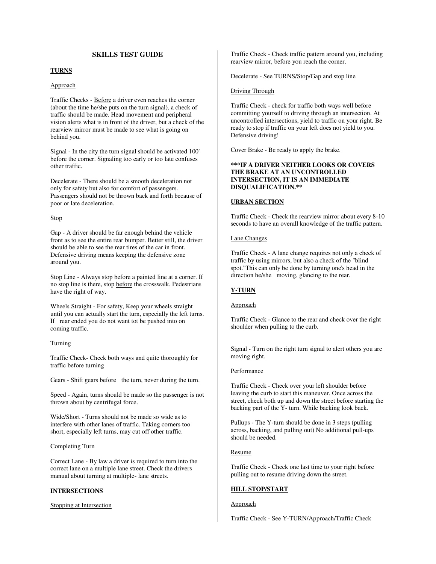### **SKILLS TEST GUIDE**

#### **TURNS**

#### Approach

Traffic Checks - Before a driver even reaches the corner (about the time he/she puts on the turn signal), a check of traffic should be made. Head movement and peripheral vision alerts what is in front of the driver, but a check of the rearview mirror must be made to see what is going on behind you.

Signal - In the city the turn signal should be activated 100' before the corner. Signaling too early or too late confuses other traffic.

Decelerate - There should be a smooth deceleration not only for safety but also for comfort of passengers. Passengers should not be thrown back and forth because of poor or late deceleration.

#### Stop

Gap - A driver should be far enough behind the vehicle front as to see the entire rear bumper. Better still, the driver should be able to see the rear tires of the car in front. Defensive driving means keeping the defensive zone around you.

Stop Line - Always stop before a painted line at a corner. If no stop line is there, stop before the crosswalk. Pedestrians have the right of way.

Wheels Straight - For safety, Keep your wheels straight until you can actually start the turn, especially the left turns. If rear ended you do not want tot be pushed into on coming traffic.

#### Turning

Traffic Check- Check both ways and quite thoroughly for traffic before turning

Gears - Shift gears before the turn, never during the turn.

Speed - Again, turns should be made so the passenger is not thrown about by centrifugal force.

Wide/Short - Turns should not be made so wide as to interfere with other lanes of traffic. Taking corners too short, especially left turns, may cut off other traffic.

#### Completing Turn

Correct Lane - By law a driver is required to turn into the correct lane on a multiple lane street. Check the drivers manual about turning at multiple- lane streets.

#### **INTERSECTIONS**

Stopping at Intersection

Traffic Check - Check traffic pattern around you, including rearview mirror, before you reach the corner.

Decelerate - See TURNS/Stop/Gap and stop line

#### Driving Through

Traffic Check - check for traffic both ways well before committing yourself to driving through an intersection. At uncontrolled intersections, yield to traffic on your right. Be ready to stop if traffic on your left does not yield to you. Defensive driving!

Cover Brake - Be ready to apply the brake.

#### **\*\*\*IF A DRIVER NEITHER LOOKS OR COVERS THE BRAKE AT AN UNCONTROLLED INTERSECTION, IT IS AN IMMEDIATE DISQUALIFICATION.\*\***

#### **URBAN SECTION**

Traffic Check - Check the rearview mirror about every 8-10 seconds to have an overall knowledge of the traffic pattern.

#### Lane Changes

Traffic Check - A lane change requires not only a check of traffic by using mirrors, but also a check of the "blind spot."This can only be done by turning one's head in the direction he/she moving, glancing to the rear.

### **Y-TURN**

#### Approach

Traffic Check - Glance to the rear and check over the right shoulder when pulling to the curb.

Signal - Turn on the right turn signal to alert others you are moving right.

#### **Performance**

Traffic Check - Check over your left shoulder before leaving the curb to start this maneuver. Once across the street, check both up and down the street before starting the backing part of the Y- turn. While backing look back.

Pullups - The Y-turn should be done in 3 steps (pulling across, backing, and pulling out) No additional pull-ups should be needed.

#### Resume

Traffic Check - Check one last time to your right before pulling out to resume driving down the street.

#### **HILL STOP/START**

#### Approach

Traffic Check - See Y-TURN/Approach/Traffic Check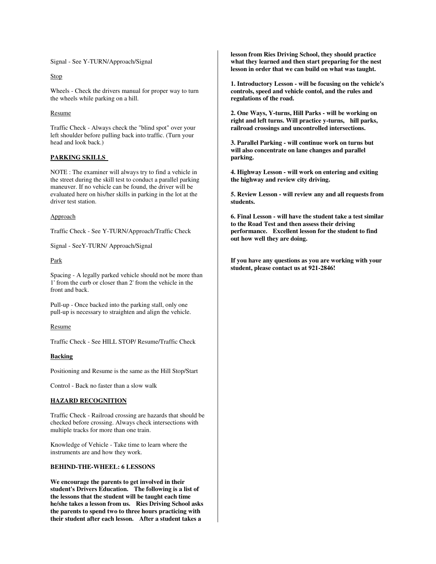#### Signal - See Y-TURN/Approach/Signal

#### Stop

Wheels - Check the drivers manual for proper way to turn the wheels while parking on a hill.

#### Resume

Traffic Check - Always check the "blind spot" over your left shoulder before pulling back into traffic. (Turn your head and look back.)

#### **PARKING SKILLS**

NOTE : The examiner will always try to find a vehicle in the street during the skill test to conduct a parallel parking maneuver. If no vehicle can be found, the driver will be evaluated here on his/her skills in parking in the lot at the driver test station.

#### Approach

Traffic Check - See Y-TURN/Approach/Traffic Check

Signal - SeeY-TURN/ Approach/Signal

#### Park

Spacing - A legally parked vehicle should not be more than 1' from the curb or closer than 2' from the vehicle in the front and back.

Pull-up - Once backed into the parking stall, only one pull-up is necessary to straighten and align the vehicle.

Resume

Traffic Check - See HILL STOP/ Resume/Traffic Check

#### **Backing**

Positioning and Resume is the same as the Hill Stop/Start

Control - Back no faster than a slow walk

#### **HAZARD RECOGNITION**

Traffic Check - Railroad crossing are hazards that should be checked before crossing. Always check intersections with multiple tracks for more than one train.

Knowledge of Vehicle - Take time to learn where the instruments are and how they work.

#### **BEHIND-THE-WHEEL: 6 LESSONS**

**We encourage the parents to get involved in their student's Drivers Education. The following is a list of the lessons that the student will be taught each time he/she takes a lesson from us. Ries Driving School asks the parents to spend two to three hours practicing with their student after each lesson. After a student takes a** 

**lesson from Ries Driving School, they should practice what they learned and then start preparing for the nest lesson in order that we can build on what was taught.** 

**1. Introductory Lesson - will be focusing on the vehicle's controls, speed and vehicle contol, and the rules and regulations of the road.** 

**2. One Ways, Y-turns, Hill Parks - will be working on right and left turns. Will practice y-turns, hill parks, railroad crossings and uncontrolled intersections.** 

**3. Parallel Parking - will continue work on turns but will also concentrate on lane changes and parallel parking.** 

**4. Highway Lesson - will work on entering and exiting the highway and review city driving.** 

**5. Review Lesson - will review any and all requests from students.** 

**6. Final Lesson - will have the student take a test similar to the Road Test and then assess their driving performance. Excellent lesson for the student to find out how well they are doing.** 

**If you have any questions as you are working with your student, please contact us at 921-2846!**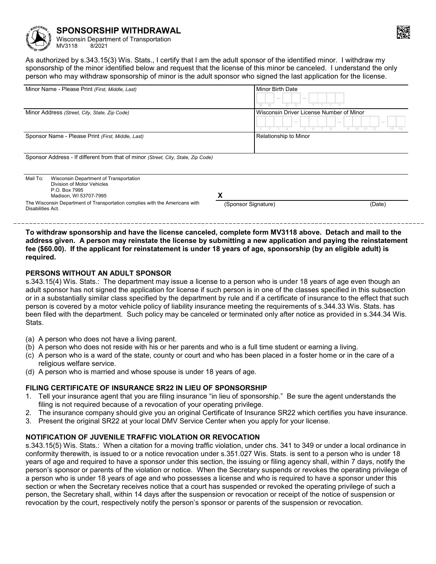## **SPONSORSHIP WITHDRAWAL**



Wisconsin Department of Transportation<br>MV3118 8/2021 MV3118

As authorized by s.343.15(3) Wis. Stats., I certify that I am the adult sponsor of the identified minor. I withdraw my sponsorship of the minor identified below and request that the license of this minor be canceled. I understand the only person who may withdraw sponsorship of minor is the adult sponsor who signed the last application for the license.

| Minor Name - Please Print (First, Middle, Last)                                                  | Minor Birth Date                                                |
|--------------------------------------------------------------------------------------------------|-----------------------------------------------------------------|
|                                                                                                  | $\hspace{0.5cm}$<br>M<br>D.<br>D                                |
| Minor Address (Street, City, State, Zip Code)                                                    | Wisconsin Driver License Number of Minor                        |
|                                                                                                  | $\hspace{0.5cm}$<br>$10 -$<br>$11 -$<br>12<br>$13 -$<br>9<br>14 |
| Sponsor Name - Please Print (First, Middle, Last)                                                | Relationship to Minor                                           |
|                                                                                                  |                                                                 |
| Sponsor Address - If different from that of minor (Street, City, State, Zip Code)                |                                                                 |
| Mail To:<br>Wisconsin Department of Transportation<br>Division of Motor Vehicles                 |                                                                 |
| P.O. Box 7995<br>Madison, WI 53707-7995                                                          | х                                                               |
| The Wisconsin Department of Transportation complies with the Americans with<br>Disabilities Act. | (Sponsor Signature)<br>(Date)                                   |
|                                                                                                  |                                                                 |

**To withdraw sponsorship and have the license canceled, complete form MV3118 above. Detach and mail to the address given. A person may reinstate the license by submitting a new application and paying the reinstatement fee (\$60.00). If the applicant for reinstatement is under 18 years of age, sponsorship (by an eligible adult) is required.**

### **PERSONS WITHOUT AN ADULT SPONSOR**

s.343.15(4) Wis. Stats.: The department may issue a license to a person who is under 18 years of age even though an adult sponsor has not signed the application for license if such person is in one of the classes specified in this subsection or in a substantially similar class specified by the department by rule and if a certificate of insurance to the effect that such person is covered by a motor vehicle policy of liability insurance meeting the requirements of s.344.33 Wis. Stats. has been filed with the department. Such policy may be canceled or terminated only after notice as provided in s.344.34 Wis. Stats.

- (a) A person who does not have a living parent.
- (b) A person who does not reside with his or her parents and who is a full time student or earning a living.
- (c) A person who is a ward of the state, county or court and who has been placed in a foster home or in the care of a religious welfare service.
- (d) A person who is married and whose spouse is under 18 years of age.

### **FILING CERTIFICATE OF INSURANCE SR22 IN LIEU OF SPONSORSHIP**

- 1. Tell your insurance agent that you are filing insurance "in lieu of sponsorship." Be sure the agent understands the filing is not required because of a revocation of your operating privilege.
- 2. The insurance company should give you an original Certificate of Insurance SR22 which certifies you have insurance.
- 3. Present the original SR22 at your local DMV Service Center when you apply for your license.

### **NOTIFICATION OF JUVENILE TRAFFIC VIOLATION OR REVOCATION**

s.343.15(5) Wis. Stats.: When a citation for a moving traffic violation, under chs. 341 to 349 or under a local ordinance in conformity therewith, is issued to or a notice revocation under s.351.027 Wis. Stats. is sent to a person who is under 18 years of age and required to have a sponsor under this section, the issuing or filing agency shall, within 7 days, notify the person's sponsor or parents of the violation or notice. When the Secretary suspends or revokes the operating privilege of a person who is under 18 years of age and who possesses a license and who is required to have a sponsor under this section or when the Secretary receives notice that a court has suspended or revoked the operating privilege of such a person, the Secretary shall, within 14 days after the suspension or revocation or receipt of the notice of suspension or revocation by the court, respectively notify the person's sponsor or parents of the suspension or revocation.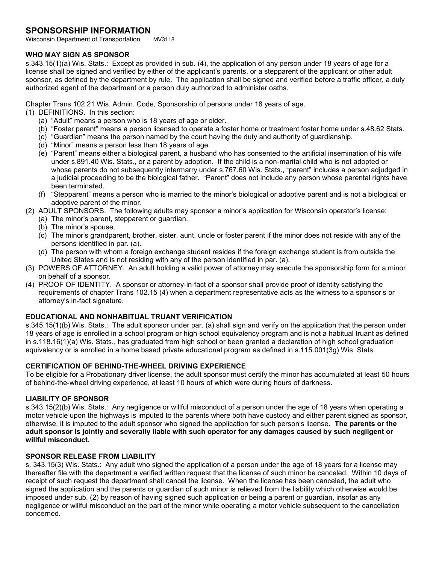## **SPONSORSHIP INFORMATION**

Wisconsin Department of Transportation MV3118

### **WHO MAY SIGN AS SPONSOR**

s.343.15(1)(a) Wis. Stats.: Except as provided in sub. (4), the application of any person under 18 years of age for a license shall be signed and verified by either of the applicant's parents, or a stepparent of the applicant or other adult sponsor, as defined by the department by rule. The application shall be signed and verified before a traffic officer, a duly authorized agent of the department or a person duly authorized to administer oaths.

Chapter Trans 102.21 Wis. Admin. Code, Sponsorship of persons under 18 years of age.

(1) DEFINITIONS. In this section:

- (a) "Adult" means a person who is 18 years of age or older.
- (b) "Foster parent" means a person licensed to operate a foster home or treatment foster home under s.48.62 Stats.
- (c) "Guardian" means the person named by the court having the duty and authority of guardianship.
- (d) "Minor" means a person less than 18 years of age.
- (e) "Parent" means either a biological parent, a husband who has consented to the artificial insemination of his wife under s.891.40 Wis. Stats., or a parent by adoption. If the child is a non-marital child who is not adopted or whose parents do not subsequently intermarry under s.767.60 Wis. Stats., "parent" includes a person adjudged in a judicial proceeding to be the biological father. "Parent" does not include any person whose parental rights have been terminated.
- (f) "Stepparent" means a person who is married to the minor's biological or adoptive parent and is not a biological or adoptive parent of the minor.
- (2) ADULT SPONSORS. The following adults may sponsor a minor's application for Wisconsin operator's license:
	- (a) The minor's parent, stepparent or guardian.
	- (b) The minor's spouse.
	- (c) The minor's grandparent, brother, sister, aunt, uncle or foster parent if the minor does not reside with any of the persons identified in par. (a).
	- (d) The person with whom a foreign exchange student resides if the foreign exchange student is from outside the United States and is not residing with any of the person identified in par. (a).
- (3) POWERS OF ATTORNEY. An adult holding a valid power of attorney may execute the sponsorship form for a minor on behalf of a sponsor.
- (4) PROOF OF IDENTITY. A sponsor or attorney-in-fact of a sponsor shall provide proof of identity satisfying the requirements of chapter Trans 102.15 (4) when a department representative acts as the witness to a sponsor's or attorney's in-fact signature.

### **EDUCATIONAL AND NONHABITUAL TRUANT VERIFICATION**

s.345.15(1)(b) Wis. Stats.: The adult sponsor under par. (a) shall sign and verify on the application that the person under 18 years of age is enrolled in a school program or high school equivalency program and is not a habitual truant as defined in s.118.16(1)(a) Wis. Stats., has graduated from high school or been granted a declaration of high school graduation equivalency or is enrolled in a home based private educational program as defined in s.115.001(3g) Wis. Stats.

### **CERTIFICATION OF BEHIND-THE-WHEEL DRIVING EXPERIENCE**

To be eligible for a Probationary driver license, the adult sponsor must certify the minor has accumulated at least 50 hours of behind-the-wheel driving experience, at least 10 hours of which were during hours of darkness.

### **LIABILITY OF SPONSOR**

s.343.15(2)(b) Wis. Stats.: Any negligence or willful misconduct of a person under the age of 18 years when operating a motor vehicle upon the highways is imputed to the parents where both have custody and either parent signed as sponsor, otherwise, it is imputed to the adult sponsor who signed the application for such person's license. **The parents or the adult sponsor is jointly and severally liable with such operator for any damages caused by such negligent or willful misconduct.**

### **SPONSOR RELEASE FROM LIABILITY**

s. 343.15(3) Wis. Stats.: Any adult who signed the application of a person under the age of 18 years for a license may thereafter file with the department a verified written request that the license of such minor be canceled. Within 10 days of receipt of such request the department shall cancel the license. When the license has been canceled, the adult who signed the application and the parents or guardian of such minor is relieved from the liability which otherwise would be imposed under sub. (2) by reason of having signed such application or being a parent or guardian, insofar as any negligence or willful misconduct on the part of the minor while operating a motor vehicle subsequent to the cancellation concerned.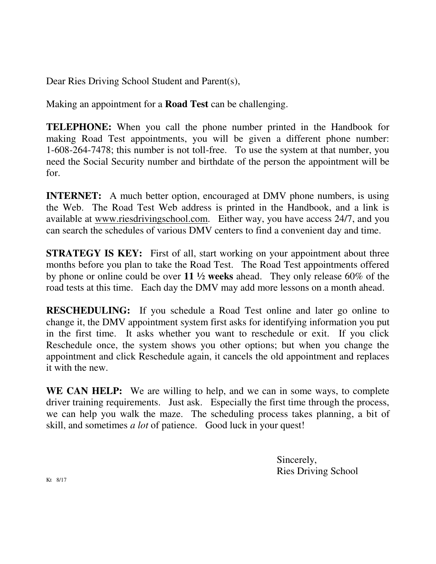Dear Ries Driving School Student and Parent(s),

Making an appointment for a **Road Test** can be challenging.

**TELEPHONE:** When you call the phone number printed in the Handbook for making Road Test appointments, you will be given a different phone number: 1-608-264-7478; this number is not toll-free. To use the system at that number, you need the Social Security number and birthdate of the person the appointment will be for.

**INTERNET:** A much better option, encouraged at DMV phone numbers, is using the Web. The Road Test Web address is printed in the Handbook, and a link is available at www.riesdrivingschool.com. Either way, you have access 24/7, and you can search the schedules of various DMV centers to find a convenient day and time.

**STRATEGY IS KEY:** First of all, start working on your appointment about three months before you plan to take the Road Test. The Road Test appointments offered by phone or online could be over **11 ½ weeks** ahead. They only release 60% of the road tests at this time. Each day the DMV may add more lessons on a month ahead.

**RESCHEDULING:** If you schedule a Road Test online and later go online to change it, the DMV appointment system first asks for identifying information you put in the first time. It asks whether you want to reschedule or exit. If you click Reschedule once, the system shows you other options; but when you change the appointment and click Reschedule again, it cancels the old appointment and replaces it with the new.

**WE CAN HELP:** We are willing to help, and we can in some ways, to complete driver training requirements. Just ask. Especially the first time through the process, we can help you walk the maze. The scheduling process takes planning, a bit of skill, and sometimes *a lot* of patience. Good luck in your quest!

> Sincerely, Ries Driving School

Kt 8/17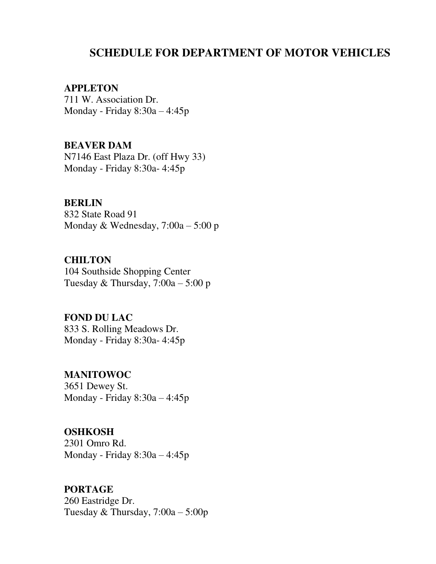# **SCHEDULE FOR DEPARTMENT OF MOTOR VEHICLES**

## **APPLETON**

711 W. Association Dr. Monday - Friday 8:30a – 4:45p

## **BEAVER DAM**

N7146 East Plaza Dr. (off Hwy 33) Monday - Friday 8:30a- 4:45p

## **BERLIN**

832 State Road 91 Monday & Wednesday, 7:00a – 5:00 p

# **CHILTON** 104 Southside Shopping Center Tuesday & Thursday, 7:00a – 5:00 p

## **FOND DU LAC** 833 S. Rolling Meadows Dr. Monday - Friday 8:30a- 4:45p

## **MANITOWOC**

3651 Dewey St. Monday - Friday 8:30a – 4:45p

## **OSHKOSH**

2301 Omro Rd. Monday - Friday 8:30a – 4:45p

## **PORTAGE**

260 Eastridge Dr. Tuesday & Thursday, 7:00a – 5:00p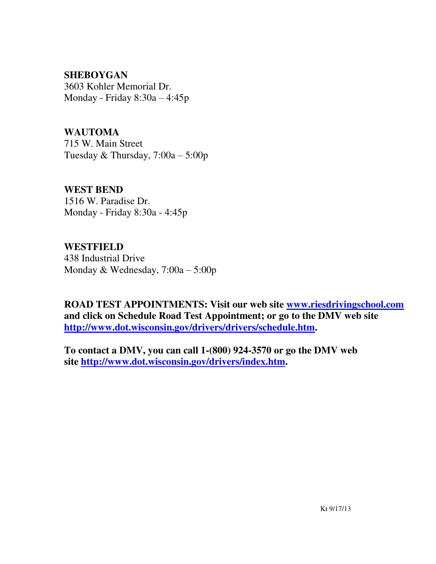# **SHEBOYGAN**

3603 Kohler Memorial Dr. Monday - Friday 8:30a – 4:45p

# **WAUTOMA**

715 W. Main Street Tuesday & Thursday,  $7:00a - 5:00p$ 

# **WEST BEND**

1516 W. Paradise Dr. Monday - Friday 8:30a - 4:45p

# **WESTFIELD**

438 Industrial Drive Monday & Wednesday, 7:00a – 5:00p

**ROAD TEST APPOINTMENTS: Visit our web site www.riesdrivingschool.com and click on Schedule Road Test Appointment; or go to the DMV web site http://www.dot.wisconsin.gov/drivers/drivers/schedule.htm.** 

**To contact a DMV, you can call 1-(800) 924-3570 or go the DMV web site http://www.dot.wisconsin.gov/drivers/index.htm.**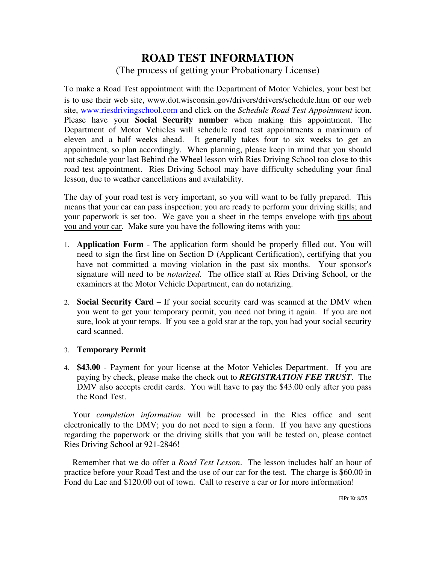# **ROAD TEST INFORMATION**  (The process of getting your Probationary License)

To make a Road Test appointment with the Department of Motor Vehicles, your best bet is to use their web site, www.dot.wisconsin.gov/drivers/drivers/schedule.htm or our web site, www.riesdrivingschool.com and click on the *Schedule Road Test Appointment* icon. Please have your **Social Security number** when making this appointment. The Department of Motor Vehicles will schedule road test appointments a maximum of eleven and a half weeks ahead. It generally takes four to six weeks to get an appointment, so plan accordingly. When planning, please keep in mind that you should not schedule your last Behind the Wheel lesson with Ries Driving School too close to this road test appointment. Ries Driving School may have difficulty scheduling your final lesson, due to weather cancellations and availability.

The day of your road test is very important, so you will want to be fully prepared. This means that your car can pass inspection; you are ready to perform your driving skills; and your paperwork is set too. We gave you a sheet in the temps envelope with tips about you and your car. Make sure you have the following items with you:

- 1. **Application Form** The application form should be properly filled out. You will need to sign the first line on Section D (Applicant Certification), certifying that you have not committed a moving violation in the past six months. Your sponsor's signature will need to be *notarized*. The office staff at Ries Driving School, or the examiners at the Motor Vehicle Department, can do notarizing.
- 2. **Social Security Card** If your social security card was scanned at the DMV when you went to get your temporary permit, you need not bring it again. If you are not sure, look at your temps. If you see a gold star at the top, you had your social security card scanned.

## 3. **Temporary Permit**

4. **\$43.00** - Payment for your license at the Motor Vehicles Department. If you are paying by check, please make the check out to *REGISTRATION FEE TRUST*. The DMV also accepts credit cards. You will have to pay the \$43.00 only after you pass the Road Test.

 Your *completion information* will be processed in the Ries office and sent electronically to the DMV; you do not need to sign a form. If you have any questions regarding the paperwork or the driving skills that you will be tested on, please contact Ries Driving School at 921-2846!

 Remember that we do offer a *Road Test Lesson*. The lesson includes half an hour of practice before your Road Test and the use of our car for the test. The charge is \$60.00 in Fond du Lac and \$120.00 out of town. Call to reserve a car or for more information!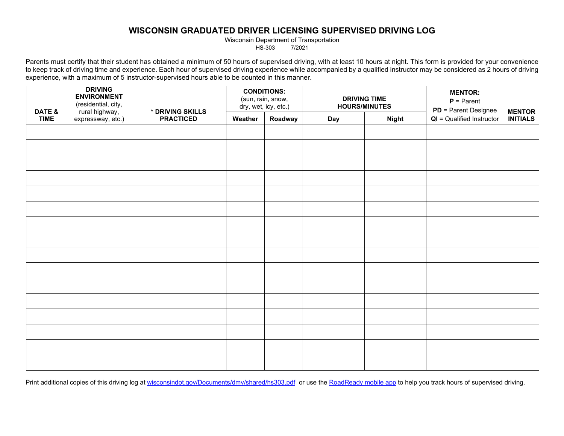## **WISCONSIN GRADUATED DRIVER LICENSING SUPERVISED DRIVING LOG**

Wisconsin Department of Transportation<br>HS-303 7/2021

 $HS-303$ 

Parents must certify that their student has obtained a minimum of 50 hours of supervised driving, with at least 10 hours at night. This form is provided for your convenience to keep track of driving time and experience. Each hour of supervised driving experience while accompanied by a qualified instructor may be considered as 2 hours of driving experience, with a maximum of 5 instructor-supervised hours able to be counted in this manner.

|                       | <b>DRIVING</b><br><b>ENVIRONMENT</b><br>(residential, city, |                                      | <b>CONDITIONS:</b><br>(sun, rain, snow,<br>dry, wet, icy, etc.) |         | <b>DRIVING TIME</b><br><b>HOURS/MINUTES</b> |              | <b>MENTOR:</b><br>$P = Parent$<br><b>PD</b> = Parent Designee |                                  |
|-----------------------|-------------------------------------------------------------|--------------------------------------|-----------------------------------------------------------------|---------|---------------------------------------------|--------------|---------------------------------------------------------------|----------------------------------|
| DATE &<br><b>TIME</b> | rural highway,<br>expressway, etc.)                         | * DRIVING SKILLS<br><b>PRACTICED</b> | Weather                                                         | Roadway | <b>Day</b>                                  | <b>Night</b> | $QI =$ Qualified Instructor                                   | <b>MENTOR</b><br><b>INITIALS</b> |
|                       |                                                             |                                      |                                                                 |         |                                             |              |                                                               |                                  |
|                       |                                                             |                                      |                                                                 |         |                                             |              |                                                               |                                  |
|                       |                                                             |                                      |                                                                 |         |                                             |              |                                                               |                                  |
|                       |                                                             |                                      |                                                                 |         |                                             |              |                                                               |                                  |
|                       |                                                             |                                      |                                                                 |         |                                             |              |                                                               |                                  |
|                       |                                                             |                                      |                                                                 |         |                                             |              |                                                               |                                  |
|                       |                                                             |                                      |                                                                 |         |                                             |              |                                                               |                                  |
|                       |                                                             |                                      |                                                                 |         |                                             |              |                                                               |                                  |
|                       |                                                             |                                      |                                                                 |         |                                             |              |                                                               |                                  |
|                       |                                                             |                                      |                                                                 |         |                                             |              |                                                               |                                  |
|                       |                                                             |                                      |                                                                 |         |                                             |              |                                                               |                                  |
|                       |                                                             |                                      |                                                                 |         |                                             |              |                                                               |                                  |
|                       |                                                             |                                      |                                                                 |         |                                             |              |                                                               |                                  |
|                       |                                                             |                                      |                                                                 |         |                                             |              |                                                               |                                  |
|                       |                                                             |                                      |                                                                 |         |                                             |              |                                                               |                                  |
|                       |                                                             |                                      |                                                                 |         |                                             |              |                                                               |                                  |
|                       |                                                             |                                      |                                                                 |         |                                             |              |                                                               |                                  |

Print additional copies of this driving log at wisconsindot.gov/Documents/dmv/shared/hs303.pdf or use the RoadReady mobile app to help you track hours of supervised driving.